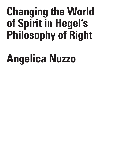# **Changing the World of Spirit in Hegel's Philosophy of Right**

# **Angelica Nuzzo**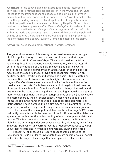**Abstract:** In this essay I place my interrogation at the intersection between Hegel's methodological discussion in the *Philosophy of Right*, the issue of the immanent change of social and political life forms in moments of historical crisis, and the concept of the "world" which I take to be the grounding concept of Hegel's political philosophy. My claim is that the position of immanence articulated by Hegel's 1821 work is a position or rather a dynamic *within the world of spirit*. It is a dynamic that is itself responsible for *producing and instituting the world of spirit*. It is within the world and as constitutive of the world that social and political change should be theoretically understood and practically promoted. In the conclusion of the essay, I turn to Gramsci to establish this claim.

**Keywords**: actuality, dialectic, rationality, world, Gramsci

The general framework of this essay is the need to reassess the type of philosophical theory of the social and political world that Hegel offers in his 1821 *Philosophy of Right*. This should be done by taking as guiding thread the dialectic-speculative method, which is integral both to the thematic object, namely, the social and political world, and to the philosophical presentation (*Darstellung*) of such an object. At stake is the specific model or type of philosophical reflection on politics, political institutions, and ethical and social life articulated by the dialectic-speculative method. In this light, it becomes clear that Hegel's *Rechtsphilosophie* offers what I call a "realism of the idea" of freedom and the state. Such theory is set up both against ideal theories of the political such as Plato's and Kant's, which disregard actuality and existence in the name of an allegedly loftier and higher ideal; and against historicist and positivist theories of jurisprudence such as Gustav Hugo's and more generally the historicist school, which end up absolutizing the *status quo* in the name of spurious (indeed ideological) historical justifications. I have defended this claim extensively in a first part of the larger study of which the present essay offers the concluding argument.

The issue of the type of political theory entailed in Hegel's 1821 book is directly connected with the question of the fruitfulness of the dialecticspeculative method for the understanding of our contemporary historical present. This is a present characterized by the ongoing, multifaceted global crisis unfolding under everybody's eyes. For, ultimately, this is "*das Bekannte*" from which any current reading of Hegel's *Philosophy of Right* unavoidably starts and in which it is unavoidably always implicated.<sup>1</sup>

Presently, I shall focus on Hegel's account of the method of the *Philosophy of Right* in order to investigate the more specific issue of social and political *change* or the change that takes place in collective life forms.

U E /

C R I S I S & C R I T I Q

Volume 8 Issue 2

<sup>1</sup> See the famous pronouncement of the *Phenomenology of Spirit* (TW 3, 18).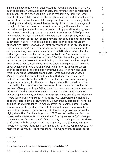This is an issue that one can easily assume must be ingrained in a theory such as Hegel's, namely, a theory that is, programmatically, developmental and mindful of the historical dimension of freedom's actuality or rather actualization in all its forms. But the question of social and political change is also at the forefront in our historical present. As much as change is, for us today, a historically unavoidable necessity, it is also the most vague of thoughts. In fact, all too often, rather than a thought it is an indistinct and unsettling subjective feeling accompanied by hope or, alternatively, fear; or it is a well-sounding political slogan indeterminate and full of promise and possible betrayal as all political slogans are. Conceptually, then—or, in Hegel's words, at the level of *das Erkannte* that should replace the initial *Bekanntes*<sup>2</sup> —the notion of social and political change calls for urgent philosophical attention. As Hegel strongly contends in the preface to the *Philosophy of Right*, emotions, subjective feelings and opinions as well as high sounding pronouncements have to be left behind when at stake is the objective world of a "publicly recognized truth" embodied in laws and institutions and collective customs. $^{\rm 3}$  Such truth can be grasped only by leaving subjective opinions and feelings behind and by addressing the level of the concept. At stake is both the descriptive question of how and under which conditions social and political life forms *de facto change*; and the practical, pragmatic, and normative question of how and under which conditions institutional and social forms *can or must undergo change*. It should be noted from the outset that change is not always and not necessarily 'for the better' or is not always and not necessarily progressive. Indeed, it is the merit of Hegel's dialectic to alert us of the complexity of all transformation processes in which human freedom is involved. Change may imply falling back into less advanced manifestations of freedom (and un-freedom); change may be resisted and delayed or hampered; change may be illusory or may take place only at the surface, as it were (or, to put it with Hegel, only at the level of *Existenz* and not at the deeper structural level of *Wirklichkeit*), leaving the substance of life forms and institutions untouched. To make matters more complicated, illusory change may be the product of deceitful manipulation coming from those in position of power in order to maintain the *status quo*—we all know the highly dialectical Sicilian adage from *Il Gattopardo*, itself a manifesto for conservative movements of then and now, "*se vogliamo che tutto rimanga com'è bisogna che tutto cambi*."4 Dialectically, change implies and is always confronted with the possibility of not-changing, i.e., ultimately, with the "positivity" always ingrained in spirit's objective forms. For, the speculative moment of rationality—*das Vernünftige*—is always animated (and indeed

2 TW 3, 18.

3 TW 7, 13f..

4 "If we want that everything remain the same, everything must change."

280 Changing the World of Spirit in Hegel's Philosophy of Right

I S & C R I T I Q U E / Volume 8

Issue 2

C R I S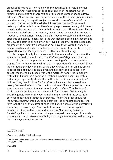propelled forward) by its tension with the negative, intellectual moment *das Verständige*—that aims at the absolutization of the *status quo*, at rejecting and resisting the transition or the change proper of speculative rationality.5 However, as I will argue in this essay, the crucial point consists in understanding that spirit's objective world is a *stratified, multi-track process*. It is the connection—indeed, the *ordo et connectio* as an old metaphysical formulation has it—of multiple processes moving at different speeds and crossing each other in their trajectory at different times. This is uneven, stratified, and contradictory movement is the overall movement of freedom's actualization. This is the claim I begin to establish in this essay. I offer this complexity in contrast to the way Hegel's political philosophy and his view of history is all-too-often portrayed. Freedom, I contend, does *not* progress with a linear trajectory; does not have the inevitability of donedeal once a highest end is established. On the basis of the method, Hegel's exploration of spirit's objective world offers a different story.

More specifically, I am interested in the way in which the dialecticspeculative method mobilized in the *Philosophy of Right* and inherited from the Logic $\mathfrak{e}$  can help us in the understanding of social and political change *from within*, or from what I call the "position of immanence." Since the method is the development of the *Sache selbst* and not an instrument imposed from the outside on a given and already concluded topic or object,<sup>7</sup> the method is placed *within* the matter at hand; it is immanent within it and indicates a position or rather a dynamic occurring within it. As Hegel repeatedly states, the method is the "immanent principle" and the living "soul" of the *Sache selbst* and, as such, is opposed to a merely "external reflection" on the topic at hand.<sup>8</sup>This implies that there is no distance between the matter and its *Darstellung*. The *Sache selbst is*—because it produces or is responsible for—its own *Darstellung*. It is at this juncture (or in the position of immanence) that the separation between theory and practice is overcome. The method that allows for the *comprehension* of the *Sache selbst* in its true conceptual and rational form is that which the matter at hand itself *does* when allowed performing according to its own logic (and not following an external viewpoint or external aims, motivations, and interests). *Darstellung is Selbst-Darstellung*. Thus, to understand change is to perform change. Ultimately, it is to accept or to take responsibility for change in ourselves—the change that is always already occurring.

/ Volume 8 Issue 2

C R  $\mathbf{I}$ S I S & C R I T I Q U E

5 See Enz. §§79-82.

6 See for example TW 7, 12; R§2, Remark.

7 See Hegel's claims against the view of the method as *Werkzeug* in the introduction to the *Phenomenology*, TW 3, 68f.

8 TW 6, 557.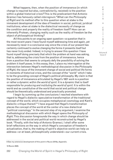What happens, then, when the position of immanence (in which change is required but also, contradictorily, resisted) is the position within a global historical crisis? This is the predicament that Antonio Gramsci has famously called *interregnum*. 9 What can the *Philosophy of Right* and its method offer to this question when at stake is the immanent development of the idea of freedom in social, political, juridical institutions; when at stake is the dialectical necessity of change as the condition and properly the reality of freedom itself? How can an inherently Protean, changing reality such as the reality of freedom be the object of philosophical thinking?

All this points to an ongoing open question—a question that in the most recent years I have found myself addressing time and again, yet necessarily never in a conclusive way since the crisis of our present has certainly continued to evolve changing the forms it presents itself but has never truly ended. Indeed, in trying to answer this question I have found myself doing precisely that which the problem at hand was asking, that is, addressing the crisis from the position of immanence, hence from a position that seems to uniquely defy the possibility of solving the problem it itself poses. In this essay, then, I place my interrogation at the intersection between Hegel's methodological discussion in the *Philosophy of Right*, the issue of the immanent change of social and political life forms in moments of historical crisis, and the concept of the "world" which I take to be the grounding concept of Hegel's political philosophy. My claim is that the position of immanence articulated by Hegel's 1821 work is a position or rather a dynamic *within the world of spirit*. It is a dynamic that is itself responsible for *producing and instituting the world of spirit*. It is within the world and as constitutive of the world that social and political change should be theoretically understood and practically promoted.

I begin by summing up the conclusions I reached elsewhere with regard to Hegel's dialectic-speculative transformation of the traditional concept of the world, which occupies metaphysical cosmology and Kant's dialectic critique thereof.10 I have argued that Hegel's transformation places the concept of the world at the center of a new dialectical "political cosmology." In the second step of my argument, I examine the methodological discussion with which Hegel opens the *Philosophy of Right*. This discussion foregrounds the way in which change should be addressed in the social and political world reconstructed by Hegel's book. \*Finally, with the help of Antonio Gramsci, I shall offer some brief reflections on the way in which Hegel's conception of freedom's actualization, that is, the making of spirit's objective world can help us address—or at least, philosophically understand—our current crisis.

9 See my extensive development of this point in Nuzzo 2018a, Appendix.

10 Nuzzo 2020.

& C R I T I Q U E / Volume 8

Issue 2

C R I S I S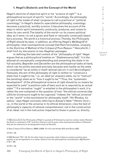## **1. Hegel's Dialectic and the Concept of the World**

Hegel's doctrine of objective spirit or his "science of right"11 is a philosophical account of spirit's "world." Accordingly, the philosophy of right is the model of what I propose to call a practical or "political cosmology." In Hegel's dialectic-speculative philosophy, cosmology becomes a practical, worldly science: it becomes the account of the ways in which spirit immanently constructs, produces, and comes to know its own world. The totality of the world—or its cosmo-political idea, as it were—is not a (given and fixed or rationally construed) object but a process. *The world is a historical process*. Thereby, the *Philosophy of Right* should be seen, in addition, as offering Hegel's *Weltbegriff* of philosophy—that cosmopolitical concept that Kant formulates, uniquely, in the Doctrine of Method of the *Critique of Pure Reason*. 12 Henceforth, I shall limit my discussion to two Hegelian passages.

In defining the task and content of his "philosophy of right" Hegel argues that as a *philosophical* treatise on "*Staatswissenschaft*," it is the attempt at conceptually comprehending and presenting the state in its full actuality. *Begreifen* and *Darstellen* are the philosophical tasks at hand, which can be jointly executed precisely because and insofar as the state is considered "as an entity in itself rational (*als ein in sich Vernünftiges*)." Famously, the aim of the philosophy of right is neither to "construct a state how it ought to be," i.e., an ideal (or utopian) state, nor to "instruct" the (existing) state as to "how it ought to be."13 Thus, the "systematic development" of the philosophical science of right should by no means be expected to yield "a positive code of laws such as is required by an actual state."14 If a normative "ought" is entailed in the philosopher's work, it is rather the one contained in the question of how "the ethical universe (*das sittliche Universum*) ought to be cognized." Indeed, the "ethical universe" or the "world" is the touchstone for philosophy itself: "*Hic* Rhodus, *hic* saltus," says Hegel concisely referring to Aesop's fable.15 Herein (*hic*) i.e., in the world or the universe in its ethical dimension—lies the test of philosophy's capacity of rational comprehension: not in the construction of an ideal; not in the instruction imparted to those in power or, directly

12 See *Critique of Pure Reason*, B866f./A838f. For this see Hinske 2013 and Nuzzo 2020.

13 TW 7, 26.

15 TW 7, 26.

C R I S I S & C R I T I Q U E / Volume 8 Issue 2

<sup>11</sup> R§2 (henceforth the *Philosophy of Right* is quoted as R followed by section number and/or Remark; the book is contained in TW 7 and this reference will be given when quoting the preface or Remarks that are too extensive to be designated simply as Remark).

<sup>14</sup> R§3 Remark, TW 7, 35. On the other hand, to ascertain what it takes to produce positive laws, namely, to act as legislators is a matter distinct from the philosophical consideration: R§3 Remark (TW 7, 39).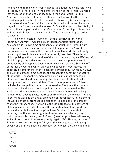(and naively), to the world itself.<sup>16</sup> Indeed, as suggested by the reference to Aesop, it is "here," i.e., in the comprehension of the "ethical universe" that the relation that binds philosophy to the actual world—or the "universe" as such—is tested. In other words, the world is the test and criterion of philosophical truth. The task of philosophy is the conceptual comprehension of "what is," i.e., of what is actual and present because, Hegel insists, "what is actual is reason."<sup>17</sup> Since the world is the totality of what is, it encompasses the order of rationality. Accordingly, philosophy and the world belong to the same order. This is a cosmo-logical order, as it were.

The world is actual—*wirklich*—as the "*contemporary* world (*gegenwärtige Welt*)." Accordingly, in Hegel's famous formulation, "philosophy is its own time apprehended in thoughts."18 Herein I want to emphasize the connection between philosophy and the "world" (over the connection between philosophy and time). The world is the totality in which philosophy is always and necessarily inscribed. There is no philosophizing without or outside of the world. Indeed, Hegel's *Weltbegriff* of philosophy is at stake here: not so much the concept of the world produced by philosophical speculation (what Kant calls its *Schulbegriff*) but rather the world in which philosophy necessarily operates as the conceptual comprehension of its contents. Philosophy is *in its own world*, and is in the present time because the present is a constitutive feature of the world. Philosophy is, more precisely, an immanent dimension of that very world and time, namely, the dimension of rational (self- ) comprehension of the world itself. The "contemporary world," then, includes its own philosophical comprehension. Reason is the common basis that joins the world and its philosophical comprehension. The world is neither a construction of reason (is not a mere ideal lacking actuality) nor does it awaits instruction from reason as to what it "ought to be."19 The world is the *actual* dimension of reason itself. To this extent, the world cannot be transcended just as the dimension of the present cannot be transcended. The world is the ultimate test of the powers of philosophical rationality: it entails the intimation to actually perform, here and now, that winning "leap" in Aesop's fable. Ultimately, in requiring practice or, properly, actual performance as the only sign of truth, the world is the very proof of truth (no other promises, witnesses, and additional conditions are required). Again, "*Hic* Rhodus, *hic* saltus." Properly, however, no "leaping" beyond the world, just as no leaping beyond one's time is possible. Any such activity just as knowledge itself

................................ 16 TW 7, 27. 17 TW 7, 26. 18 TW 7, 26. 19 TW 7, 27. Changing the World of Spirit in Hegel's Philosophy of Right284

/ Volume 8 Issue 2

C R I S I S & C R I T I Q U E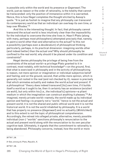is possible only within the world and its presence or *Gegenwart*. The world, just as reason or the order of rationality, is the totality that cannot be transcended: only the position of immanence within it is warranted. Hence, this is how Hegel completes the thought elicited by Aesop's quote. "It is just as foolish to imagine that any philosophy can transcend its contemporary world as that an individual can overleap its own time, or leap over Rhodes."20

And this is the interesting thought. In fact, that philosophy cannot transcend the actual world is less intuitively clear than the impossibility for the individual to overcome the time she lives in. Hasn't Plato (along with many, perhaps most philosophers) attempted precisely that, namely, to paint a world other than and alternative to the actual? Is this not a possibility (perhaps even a *desideratum*) of philosophical thinking particularly, perhaps, in its practical dimension: imagining worlds other (and indeed better) than the actual one? Why should philosophy be confined to the real world; why should it be placed under its condition and constraints?

Hegel denies philosophy the privilege of being free from the constraints of the actual world—a privilege Plato granted to it in contrast, most notably, with technical knowledge<sup>21</sup>—on the ground, first, that what is exercised in philosophy and in the activity of philosophizing is reason, not mere opinion or imagination or individual subjective belief and feeling; and on the ground, second, that unlike mere opinion, which is generally not rooted in the real (and not checked by it), reason is precisely that which animates actuality and makes the world *actual* and *present*. If a philosophical "theory does indeed transcend [its] own time, if it builds itself a world as it ought to be, then it certainly has an existence (*existiert sie wohl*), but only within his [i.e., the individual's] opinions—a pliant medium in which the imagination can construct anything it pleases."<sup>22</sup> An imagined, merely private world—namely, the world made up by individual opinion and feeling—is properly not a "world," hence is not the actual and present world; it is not the shared and public ethical world and it is not the historical world. It is not the world inhabited by philosophy. It is a world that has properly no presence (*Gegenwart*) and no actuality (*Wirklichkeit*) and to this extent is not the topic of philosophical comprehension. Accordingly, the retreat into alleged private, alternative, merely possible individual (non-) "worlds" sanctions philosophy's renunciation to the actual and present world along with the renunciation to its own peculiar cognitive task. Ultimately, it signals that the commitment to rationality is being abandoned. Philosophy concerns, instead, how the world or more

20 TW 7, 26.

21 See, among all, Plato, *Republic*, X.

22 TW 7, 26.

285 Changing the World of Spirit in Hegel's Philosophy of Right

& C R I T I Q U E / Volume 8

C R  $\mathbf{I}$ S I S

Issue 2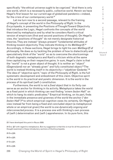specifically "the ethical universe ought to be cognized." And there is only one world, which is a necessarily public, collective world. Herein we have Hegel's first lesson for our current age of globalized pandemic—indeed, for the crisis of our contemporary world.<sup>23</sup>

Let me turn now to a second passage, relevant to the framing of Hegel's concept of the world in the *Philosophy of Right*. In the *Encyclopedia*, in presenting the Positions of Thought Toward Objectivity that introduce the Logic, Hegel confronts the concepts of the world theorized by metaphysics and by what he considers Kant's critical version of empiricism (first and second positions of thought). On Hegel's view, the "positions of thought" do not merely designate historical theories. They are instead "always-present" fundamental attitudes of thinking toward objectivity. They indicate thinking in its *Weltbegriff*. 24 Accordingly, in these sections, Hegel brings to light his own *Weltbegriff* of philosophy. He does so by tackling the problem of how to dialectically and speculatively think of the "world" so as to overcome the shortcomings of both dogmatic metaphysics and Kant's criticism while at the same time capitalizing on their respective gains. In sum, Hegel's claim is that the "world" is not a given object of thought. It is neither an "object" (*Gegenstand*) nor an "already given" and fully constituted object.<sup>25</sup> The world is instead thinking itself in its objectivity—"*objektiver Gedanke*."26 The idea of "objective spirit," topic of the *Philosophy of Right*, is the full systematic development and embodiment of this claim. Objective spirit is the world in its practical and poietic dimension. It is the world in the process of its spiritual (self-) constitution.

Furthermore, the world is not a *fixed* object that in its fixity can serve as an anchor for thinking in its activity. Metaphysics takes the world as a fixed point in which thinking can rest finding "*einem festen Halt*" on which to hang its static predicates.<sup>27</sup> Empirical thinking, on its part, finds in the immediate presence and givennes of the world the anchor ("*den festen Halt*")<sup>28</sup> to which empirical cognition owes its certainty. On Hegel's view instead far from being a fixed and concluded object (a metaphysical whole or an empirical given) the world is *one dynamically ongoing and interconnected process*. It is a process one with thinking's own process of (self-) determination and (self-) apprehension. In its pure form, this

25 Enz.§30.

26 Enz.§25.

27 Enz.§31.

28 Enz.§38.

286 Changing the World of Spirit in Hegel's Philosophy of Right

R I S I S & C R I T I Q U E / Volume 8

Issue 2

C

<sup>23</sup> I have developed this point in Nuzzo 2020.

<sup>24</sup> Enz. §27 with regard to metaphysics. But my suggestion is that this is true for all the positions of thought examined in these introductory sections of the *Encyclopedia*.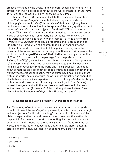process is staged by the Logic. In its concrete, specific determination in actuality, the world-process constitutes the world of nature (or *the world as nature*) and the world of spirit (or *the world as spirit*).

In *Encyclopedia* §6, harkening back to the passage of the preface to the *Philosophy of Right* commented above, Hegel contends that philosophy's "content (*Inhalt*)" is the "*Gehalt* that has originally been produced and reproduces itself in the sphere of the living spirit, a *content turned into a world* (*zur Welt* […] *gemachte Gehalt*)." There is no other content. This "world" is then further determined as the "inner and outer world of consciousness " or, directly, as "actuality (*Wirklichkeit*)."29 The world is an open-ended activity in progress—a living activity (the *Wirken* in *Wirklichkeit*)<sup>30</sup> of spiritual production and re-production and ultimately self-production of a content that is then shaped into the totality of the world. The world and philosophical thinking constitute aspects of the same process that is the production (*Hervorbringen*) of the world in its actuality—*Wirklichkeit*. Their distinction is only a distinction of "form." Consistently with the passage from the preface to the *Philosophy of Right*, Hegel insists that philosophy must be "in agreement (*Übereinstimmung*)" with both experience and actuality. Philosophical thinking cannot escape from the world and its experience: it cannot be about something else; it cannot produce something outside or beyond the world. Whatever ideal philosophy may be pursuing, it must be immanent within the world, must constitute the world in its actuality, and should be able to become conscious experience. In fact, philosophy's ideal is always within the world, even when philosophy denies it (as in Plato's case). Indeed, the agreement with the world—or actuality—should be taken as the "external test (Prüfstein)" of the truth of philosophy itself.<sup>31</sup> As claimed in the *Philosophy of Right*, "*Hic* Rhodus, *hic* saltus."

## **2. Changing the World of Spirit—A Problem of Method**

The *Philosophy of Right* offers the closest instantiation—or, properly, actualization—of the *Weltbegriff* of philosophy and is framed, accordingly, as the project of a "political cosmology" carried out on the basis of the dialectic-speculative method. We now have to see how the method is responsible for the type of political theory Hegel advances in contrast both to the idealizations that ultimately amount to a flight from the real world, and to the historicist positions that ultimately distort actuality offering an intellectual justification of contingent, merely historical

29 Enz. §6—my emphasis.

30 See Nuzzo, 2018b.

31 Enz.§6.

S I S & C R I T I Q U E / Volume 8 Issue 2

C R  $\mathbf{I}$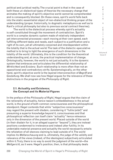political and juridical reality. The crucial point is that in the case of both these un-dialectical types of theories the necessary change that animates the making of spirit's objective world cannot be comprehended and is consequently blocked. On these views, spirit's world falls back into the static essentialist object of non-dialectical thinking proper of the understanding (proper, historically, to dogmatic metaphysics as well as to Kant's critical philosophy but also to previous social contract theories).

The world is the dialectical process whereby spirit's actuality is self-constituted through the movement of contradiction. Spirit's world is a complex dynamic system made of relatively independent yet interconnected processes—each moving at their own speed, each fulfilling different tasks and needs, each subject to a justification and a right of its own, yet all ultimately conjoined and interdependent within the totality that is the actual world. The task of the dialectic-speculative method is to bring to light the emergence of such dimensions in the totality of the world. Ultimately, this is the condition for the theoretical understanding and, at once, the practical implementation of change. Ontologically, however, the world is not just actuality. It is the dynamic system that embraces and articulates the differential relationship of *Wirklichkeit* and *Existenz*. Such relationship is more often than not an oppositional and contradictory strife. Epistemologically, on the other hand, spirit's objective world is the layered interconnection of *Begriff* and *Gestaltung*. We shall now see how Hegel argues for the relevance of these distinctions in the program of the *Philosophy of Right*.

#### **2.1. Actuality and Existence; the Concept and its Material Figures**

In the preface of the *Philosophy of Right*, Hegel argues that the claim of the rationality of actuality, hence reason's embeddedness in the actual world, is the ground of both common consciousness and the philosophical standpoint. Hegel contends that while "subjective consciousness" may regard the present with disdain, considering it "futile (*eitel*)" and presuming a superior knowledge beyond it, consciousness and that philosophical reflection can itself claim "actuality" hence relevance only in the dimension of the present world. Placed outside of the world (in their disdain for it, in an alleged superior "beyond"), they are instead positions condemned to irrelevance and indeed utter futility. In its undeniable material presence and actuality the world necessarily entails the refutation of all stances claiming to lead outside of it. The world implies its *Weltanschauung* and is, ultimately, the judge of the validity and relevance of the views (indeed, of the ideologies) subjectively articulated within it. Truly, there is no way to avoid the judgment of the world—the *Weltgericht*, as it were. Hegel's position, then, is that philosophy deals

S & C R I T I Q U E / Volume 8

C R  $\mathbf{I}$ S I

Issue 2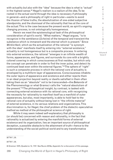with actuality *but also* with the "idea" because the idea is what is "actual" in the highest sense.32 Hegel's realism is a *realism of the ide*a. To be rooted in the actual world through the idea is necessary if philosophy in general—and a philosophy of right in particular—wants to avoid the illusion of false truths, the absolutization of one-sided subjective standpoints, and the dismissal of the rationality that lies at the core of the actual. This is the case because the present world, as spirit's ongoing changing process, is not ontologically homogeneous.

Herein we meet the epistemological task of the philosophical consideration of spirit's world. "What matters," Hegel argues, "is to recognize in the semblance (*Scheine*) of the temporal and transient the substance which is immanent and the eternal which is present." Since *Wirklichkeit*, which as the actualization of the rational "is synonym with the idea" manifests itself by entering into "external existence," actuality is not homogeneous but is a composite process. In entering into external existence, the rational "emerges in an infinite wealth of forms, appearances, and figures, and surrounds its core with a brightly colored covering in which consciousness at first resides, but which only the concept can penetrate in order to find the inner pulse, and detect its continued beat even within the external figures."<sup>33</sup> The sphere of "right" is such a composite process in which the rational core of actuality is enveloped by a multiform layer of appearances. Consciousness inhabits the outer layers of appearance and existence and either rejects them in an ideal projection beyond reality or dwells satisfied in them often taking them as an "absolute" not to be transcended—the *Bekannte* of the *Phenomenology* or what Gramsci calls the "natural absolutism of the present."34 The philosophical insight, by contrast, is tasked with connecting external existence with its rational core, with recognizing the necessity for rationality to manifest itself as a manifold of outer appearances, but also, most importantly, is able to hold fast to the rational core of actuality without being lost in "the infinite material" of external existence, in its various relations and organizations. This discrimination is, for Hegel, the chief problem of the dialectic-speculative method as method of the philosophical science of right.

While it may seem indeed self-explanatory that philosophy is (or should be) concerned with reason and rationality, in the fact that rationality is actualized by entering the manifold forms of external existence and its organization, lies an important source of philosophical deception, a possible obstacle to the attainment of truth—hence to the understanding of the social-political world and to any transformative

32 TW 7, 25.

33 TW 7, 25.

34 Gramsci 1975, Quaderno 14, 1727. See Nuzzo 2018a, Appendix for a discussion of this passage.

289 Changing the World of Spirit in Hegel's Philosophy of Right

I S & C R I T I Q U E / Volume 8

Issue 2

C R I S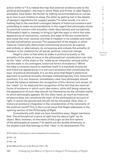action within it.35 It is indeed the trap that external existence sets to the political philosopher—the trap in which Plato and Fichte, to take Hegel's examples, have fallen: the former by making recommendations to nurses as to how to put children to sleep, the latter by getting lost in the details of passport regulations for suspect people.<sup>36</sup> In other words, it is not in holding fast to the manifold contingent details of historical existence and pretending to make recommendations in this regard that philosophy shows its practical concern with actuality—both descriptively and normatively. Philosophy's task is, instead, to bring to light the ways in which the outer appearances of institutions, customs, and ways of life are connected to and reveal the inner rational core that is freedom in its complex and multifaceted actualization-process. The assessment of the degree in which material, historically determined institutional structures do express and embody or, alternatively, do not express and embody the actuality of freedom is the condition for all social, political, historical change.

Hegel's claim is that when at stake is *political* actuality or the actuality of the state, at issue in the philosophical consideration can only be the "idea" of the state or the "state as an inherently rational entity," not the state in its contingent, historical forms of existence.<sup>37</sup> While the idea is certainly bound to manifest itself in a manifold of external and historical appearances it is not such existence that constitutes the topic of political philosophy. It is on this point that Hegel's dialectical approach to political actuality diverges methodologically from historicist positions. It is not, however, immediately clear how philosophy should thread the balance between the recognition of the rational core proper of the "state" (in its idea) and the recognition of the fact that the external forms of existence in which such idea enters, while still being valued as the appearance of such idea should not themselves be the ultimate reality to which philosophy appeals. On the other hand, as much as historical existence does not constitute the topic of the philosophical account of right, it cannot be ignored and should not be discarded. *How*, then, is historical existence integrated in the consideration of the rationality of the political world? This is the crucial issue that Hegel addresses in the opening section of the *Philosophy of Right*.

Consistently with what we have heretofore seen, Hegel maintains that "the *philosophical science of right* has the *idea of right*" as its object. Now, however, on the basis of the Logic as the first sphere of the philosophical system,<sup>38</sup> he spells out the double dimension or the double track that belongs to that "idea" in its development. The

35 This latter crucial point is rarely stressed by the interpreters.

36 TW 7, 25.

................................

37 TW 7, 26.

38 See R§2 and the end of the Remark (TW 7, 32).

290 Changing the World of Spirit in Hegel's Philosophy of Right

S I S & C R I T I Q U E / Volume 8

Issue 2

C R  $\mathbf{I}$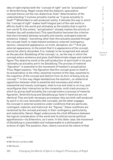idea of right implies both the "*concept* of right" and its "*actualization*" or *Verwirklichung*. Hegel insists that the dialectic-speculative concept (hence not the non-dialectical, fixed "determination of the understanding") involves actuality insofar as "it gives actuality to itself."39 *Wirklichkeit* is self-produced reality. It denotes the way in which the "concept of right" makes itself integral part of the real world or affirms itself *in* the world and ultimately *as* the totality that is spirit's own world. To this extent, "actualization" already implies the activity of freedom (as self-production). This specification becomes the criterion that discriminates between actuality and merely contingent external existence. Indeed, "everything other than this actuality posited through the concept itself, is impermanent existence, external contingency, opinion, inessential appearance, un-truth, deception, etc."40 And yet, external appearance, to the extent that it is appearance *of the concept*, cannot be utterly discarded. It is, instead, to be recognized and valued as the peculiar *Gestaltung* of the concept, i.e., as the way in which the concept enters existence and *gives itself* determinate shape and material figure. The objective world is the self-production of spirit *both* in its pure rationality as actuality *and* in its *Gestaltung*. The process of material "figuration" is essential to the movement of freedom's actualization. Thus, Hegel explains, "the *figuration* that the concept gives to itself in its actualization is the other, essential moment of the idea, essential to the cognition of the *concept* and distinct from its *form* of being only as concept."41 In this way, Hegel destabilizes the dualistic, un-dialectical opposition between what is essential and necessary and what is inessential and merely contingent, what is true and what is un-true, and reconfigures their interaction as the composite, multi-track process in which by giving itself actuality the concept enters a process of material figuration. *Verwirklichung* and *Gestaltung* go hand in hand but are not identical. They are both necessary processes; they are both self-produced by spirit in its core rationality (the concept); yet the latter engages the concept in external existence under conditions that are particular, contingent, material, and historical. As "figures," these conditions are reclaimed by the concept precisely in their contingency, particularity, and materiality. Herein Hegel underscores the chief difference between the logical consideration of the world and its ethical-social-political apprehension—its *Erkenntnis*, as it were. In this latter case, the movement of *Gestaltung* is unavoidable and indispensable to a philosophical science of right. The question, then, clearly concerns the nature of that

39 R§1.

41 R§1 Remark.

291 Changing the World of Spirit in Hegel's Philosophy of Right

 $\mathbf{I}$ S I S & C R I T I Q U E / Volume 8 Issue 2

C R

<sup>40</sup> R§1 Remark; see Nuzzo 2005.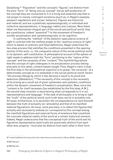*Gestaltung*. 42 "Figuration" and the concept's "figures" are distinct from the pure "form" of "being only as concept" but as self-production of the concept they are connected to it in a living and essential way that is not proper to merely contingent existence (such as, in Hegel's example, passport regulations and nurses' behavior). Figures are historical and material, and are crystallized, epistemologically, in individual and collective representations, in language, habits and customs. Now these latter are themselves integral part of the social and political world; they are constitutive, indeed "essential"<sup>43</sup> to the movement of freedom's worldly actualization and, epistemologically, to its cognition.

In outlining the "method" of the dialectic-speculative science of right in contrast with the method proper to the "positive science of right," which is based on arbitrary and fixed definitions, Hegel underlines the two-step process that satisfies the conditions presented in the opening section of the work, i.e., the composite nature of the social-political world in its dynamic self-constitution. A philosophical account of the sphere of right needs to address both the "form" pertaining to the "nature of the concept" and the necessity of the "content." The manifold figurations that the concept of right undergoes in its actualization process belong precisely to this latter, content-based insight. Thus, Hegel's claim is that the first step in the philosophical cognition is to grasp "the *necessity*" of a determinate concept as it is embodied in the social-political world: herein "the process (*Gang*) by which it has become a *result* is its proof and deduction (*Deduktion*)."44 The necessity of the concept is the necessity of its arising as a *result* out of given systematic and systemic conditions within the dynamic movement of freedom's actualization. Now, since the "content is for itself necessary [as established by the first step, A.N.], the second step consists in ascertaining what corresponds to it in our representations and language." If the task of philosophy is to bring to light the "truth" of the political world, such truth does not lie in actuality only. At issue, furthermore, is to ascertain the correspondence (or lack thereof) between the truth of actuality (or rationality) and that of its manifold material figurations. At issue, more precisely, is to detect the figures that actually and necessarily embody (or correspond to) the concept among the manifold figurations and external forms of existence that constitute the concrete material reality of the world at a certain historical moment. Indeed, Hegel underscores that the conceptual truth of the world and its figurative representation (and truth) are practically distinct from each other and, properly, "*must* also be distinct from each other in their form

42 I cannot address this issue here but I have done so extensively in Nuzzo 2018a, chapter 3.

43 R§1 Remark.

44 R§2 Remark.

 $\mathbf{I}$ S I S & C R I T I Q U E / Volume 8 Issue 2

C R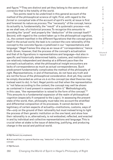and figure."45 They are distinct and yet they belong to the same *ordo et connectio* that is the totality of the world.

Two points need to be underlined in this general account of the method of the philosophical science of right. First, with regard to the *formal* or *conceptual* side of the account of spirit's world, at issue is first and foremost its nature as *process*. The "necessity" of the concept, hence its actuality is, fundamentally, the "result" of a *systematic* process—not, as we shall see, of a *historical* process. To recognize this amounts to providing the "proof" and properly the "deduction" of the concept itself.<sup>46</sup> Second, with regard to the *content* taken up in the philosophical cognition, i.e., the content manifest in the different figurations that the concept gives itself in the actual world, the task is to connect the core rationality of the concept to the concrete figures crystallized in our "representations and language." Hegel frames this step as an issue of "correspondence," hence truth. Given, however, that the process of the concept's actualization and that of its figurations in representations and language—but also in specific and historically determined habits, customs, and institutions are relatively independent and develop at a different pace than the concept's actualization, what the philosophical insight encounters are lacks of correspondence as much as actual correspondences. Such predicament fundamentally complicates the method of the philosophy of right. Representations, in and of themselves, do not have any truth and are not the focus of the philosophical consideration. And yet, they cannot be simply discarded as untrue *vis à vis* the concept (as ideal theories may instead want to do). In fact, Hegel points out that when the representation is "not false according to the content, the concept may well be shown as contained in it and present in essence within it." Methodologically, in this case, "the representation is raised to the form of the concept."47 This amounts to a fundamental expansion of the realm of philosophical cognition (especially if compared to the Logic). In assessing the present state of the world, then, philosophy must take into account the stratified and differential composition of its processes. It cannot declare the legitimacy of certain aspects of actuality—institutions, customs, ways of life—*only* on the ground of their rationality but must instead bring to light the process of their genetic institution on the one hand, and show how their rationality is or, alternatively, is not embodied, reflected, and enacted in and by individual and collective representations and language. This is crucial when at stake is the issue of detecting, justifying, and producing change in the social and political world.

45 R§2 Remark (my emphasis).

47 R§2 Remark.

C R I S I S & C R I T I Q U E / Volume 8 Issue 2

<sup>46</sup> And recall that, in a general Kantian way, "deduction" is the proof of the "objective reality" of a concept.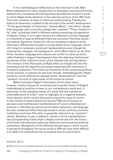In his methodological reflections on the historian's craft, Marc Bloch addresses the same complication or divergence and asynchronicity between the conceptual and the figurative development of spirit's world to which Hegel draws attention in the opening sections of his 1821 book. This time, however, at stake is *historical* understanding. Thereby the historical dimension is added to the account of the world's development. "To the great despair of historians," laments Bloch, "men fail to change their language every time they change their customs."48 Thus, freedom in its "idea" actualizes itself in different spheres assuming a progression of figures. These, in turn, take root and are reflected in human language in a manifold of ways at different historical junctures. The three levels conceptual, figurative, historical—do not necessarily advance at the same pace. Oftentimes actuality is a step ahead of our language, which still clings to customary words and representations even though the meaning has changed—the ambiguity to which Bloch alerts us. At other times, however, language and customs are swifter to catch up and to reflect freedom's stage of development than the objective institutional structures of the collective world, which instead may still lag behind. The itinerary of the *Philosophy of Right* offers an insight into how the conceptual and the figurative processes systematically intertwine in freedom's realization. The historical dimension of the social and political world, however, is relevant as well even though, methodologically, Hegel points to crucial differences separating the "philosophical" from the "positive" account of right proper of the historical school.

Before turning to Hegel's discussion of this latter issue, however, I want to pause for a moment and bring the lesson of Hegel's methodological position to bear on our contemporary world and, in particular, on the changing reality of a world that has reached an undeniable point of crisis. I want to highlight, as a negative example, some aspects of the current discussion around the issue of racism in the context of today's American society.<sup>49</sup> We see all around us pervasive and multifaceted manifestations of racism embodied and enacted in individual as well as social habits, behaviors, and language but also rooted and differently expressed in social, political, economic institutions and laws. The latter is generally referred to as "systemic" racism. Needless to say, in addition, racism in all its manifestations has a longstanding history that is deeply intertwined with the history of all those individual and collective behaviors and social and political institutions. Recognition of the different factual ways in which racism is pervasive throughout the social world is difficult; even more difficult is to detect its implications the conceptual and structural level;

48 M. Bloch 1984, 34.

49 Given the focus of my present argument I can only do so in a simplified and abbreviated way.

Issue 2

C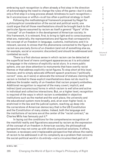embracing such recognition is often already a first step in the direction of acknowledging the need to change the rules of the game—but it is also only a first step in a long process ahead; blindness to such recognition be it unconscious or willful—is all too often a political strategy in itself.

Following the methodological framework proposed by Hegel for a *philosophical* consideration of the social and political world, one could argue that all those manifestations should be brought back to the particular *figures* assumed by racism as itself a general "figure" of the "concept" of un-freedom in the development of American society. In this framework, it is relevant, first, to bring to light and to consciousness what are, materially, the representations and figures that correspond to the concept of un-freedom in language, customs, institutions; and it is relevant, second, to stress that the phenomena connected to the figure of racism are precisely *forms of un-freedom* (and not of something else as, for example, social or economic discontent) and should be addressed and combated as such.

There is a first obvious sense in which racism can be detected at the superficial level of mere contingent appearances as it is articulated in language in the violence of explicitly racist slurs. In a more public sphere, one can draw attention to monuments that have overtly racist themes or that address explicitly racist figures. To stop short at this level, however, and to simply advocate different speech practices ("politically correct" ones, as it were) or advocate the removal of statues claiming that racism is limited to these explicit manifestations does not do much to address the broader reality of un-freedom that racism properly embodies. Additional recognition is required of the many covert, implicit, and indirect (and unconscious) forms in which racism is well alive and active in individual and collective interactions. But, on a higher level, recognition is required of the ways in which racism is embedded in objective institutions such as the market and the work place, the university and the educational system more broadly, and, at an even higher level, is enshrined in the law and the judicial system, reaching up deep into the cornerstone of American democracy that is the US Constitution and the Constitution of many states. Indeed, both the language and the institutions of racisms are at the center of the "racial contract," as Charles Mills has famously put it.<sup>50</sup>

In laying out the conditions for the comprehensive recognition of the manifold reality and figurations assumed by racism as the expression of the concept of un-freedom in American society, the philosophical perspective may not come up with directly practical solutions. It offers, however, a necessary and irreplaceable perspective that allows the reality of racism to be addressed in all its complexity as a problem that concerns the social-political *world in its entirety*—not a circumscribed part of it

50 Mills 1997.

295

U E / Volume 8

Issue 2

C R I S I S & C R I T I Q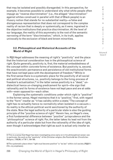that may be isolated and possibly disregarded. In this perspective, for example, it becomes possible to understand why what white people often impugn as "reverse discrimination" (i.e., the alleged "discrimination" against whites construed in parallel with that of Black people) is an illusory notion that stands for no substantial reality—a false and disingenuous representation that does not correspond to the complex reality of racism that is deeply or systemically, as it were, ingrained in the objective institutions that practice discrimination. At the level of our language, the reality of this asymmetry is the root of the semantic narrowing of the term "discrimination," which, in its truth, applies univocally to the exclusion of black and brown minorities.

#### **2.2. Philosophical and Historical Accounts of the World of Right**

In R§3 Hegel addresses the meaning of right's "positivity" and the place that the historical consideration has in the philosophical science of right. Quite generally, positivity is, first, the material embeddedness of the concept within concrete forms of existence. But positivity is, second, the anachronistic permanence and persistence of old institutional forms that have not kept pace with the development of freedom.<sup>51</sup> While in the first sense there is a systematic place for the positivity of all social and political structures, i.e., positivity belongs to the living process of freedom's actualization, $52$  in the latter sense positivity is a "dead," undialectical hence un-changing predicament for spirit—the sign that rationality and its forms of existence have not kept pace and are at odds with—even opposed to—each other.

Explaining the systematic conditions under which right is "positive" in the former sense, Hegel maintains that it is "positive," first, with regard to the "form" insofar as "it has validity within a state." The concept of right has no actuality hence no normativity when isolated in a vacuum its reality is the ethical-political world sanctioned by the authority of the state. Now the legal authority of a *particular* state is also the guiding principle of the "*positive* science of right." Herein lies, on Hegel's view, a first fundamental difference between "*positive*" jurisprudence and the "*philosophical*" science of right. For, the latter takes its lead not from the authority of a particular state but from the rationality of the *idea* of right, even though it acknowledges that right as such is actual only insofar as

/ Volume 8 Issue 2

C R I S I S & C R I T I Q U E

<sup>51</sup> This is a sense that Hegel has been investigating since early on in his philosophical career; see in particular, the work on the "positivity" of the Christian religion, *Die Positivität der Christlichen Religion*, 1795/96, in TW 1, 104-190.

<sup>52</sup> The systematic place where "right *must* become positive" is "as law" within civil society (R§§211- 214—my emphasis).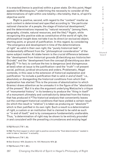it is enacted (hence is positive) within a given state. On this point, Hegel appeals to Montesquieu,<sup>53</sup> underlining the necessity to consider all the determinations of right within one totality—the totality, that is, of spirit's objective world.

Right is positive, second, with regard to the "content" insofar as such content is determined and specified according to "the particular national character of a people, the stage of historical development," and the determinations imposed by "natural necessity" (among them, geography, climate, natural resources, and the like).<sup>54</sup> Again, while recognizing this positive side as constitutive of the world of right, the philosophical insight does not take it as its direct (or exclusive) object, starting point, or ground of justification. In this regard, by considering "the emergence and development in time of the determinations of right" as valid in their own right, the "purely historical task" is fundamentally different from the "philosophical consideration" of the same subject matter. At stake herein is the crucial difference between the "development from historical grounds (*Entwicklung aus historischen Gründe*)" and the "development from the concept (*Entwicklung aus dem Begriff*)."<sup>55</sup> In fact, to confuse the two is dangerous (and disingenuous at best) when at issue is the justification—and the "truth"—of present social, political, juridical structures and orders. Problematic, Hegel contends, in this case is the extension of historical explanation and justification "to include a justification that is valid *in and of itself*," i.e., absolutely or disregarding the historical conditions from which that explanation has started. This is the process of absolutization to which Gramsci draws attention as he unmasks it in the figure of the "absolutism of the present." But it is also the argument underlying Nietzsche's critique of "monumental history" in its tendency to produce the "thing in itself" of a monument ultimately and contradictorily detached from the history that has produced it.<sup>56</sup> The historical analysis that conveniently leaves out the contingent historical conditions that have yielded a certain result (to which the result is "relative") is taken as producing an "absolute"57 which is then justified in its own right. Such a result is a determination of right, a custom or an institution that is claimed to be valid as such or "in and of itself," and is by consequence fundamentally unalterable. Thus, "a determination of right may be shown to be entirely *grounded in* and *consistent with* the prevailing *circumstances* and *existing* legal

53 R§3 Remark (TW 7, 35).

54 R§3. The third respect in which right is positive concerns the "final determinations" needed in order to take a "decision" in actuality.

55 R§3 Remark (TW 7, 35).

56 See Gramsci 1975, Quaderno 14, 1727; Nietzsche 1874, §2.

57 R§3 Remark (TW 7, 36f.).

297 Changing the World of Spirit in Hegel's Philosophy of Right

C R I S I S & C R I T  $\mathbf{I}$ Q U E / Volume 8 Issue 2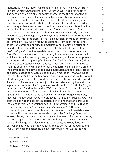institutions" by the historical explanation; and "yet it may be contrary to right (*unrechtlich*) and irrational (*unvernünftig*) in and for itself."58 The consideration "in and for itself" characterizes the perspective of the concept and its development, which is not an absolutist perspective but the most contextual one since it places the structures of right in the interconnected totality that is spirit's world in its rationality. When such perspective is reclaimed instead by the historical explanation, the necessity of the historical result is transformed into the justification of the existence of determinations that may very well be utterly irrational according to the concept, i.e., in the systematic framework of freedom's realization. This is the case, in Hegel's discussion, of many determination of Roman civil law, which follow consistently from such institutions as Roman paternal authority and matrimony but display no rationality in and of themselves. Herein Hegel's point is broader because it is *methodological*. Even if given determinations of right are rational and "*rechtlich*" in themselves, "it is one thing to demonstrate their actuality, which can truly happen only through the concept; and another to present their historical emergence (*das Geschichtliche ihres Hervortreten*) along with the circumstances, eventualities, needs, and incidents that led to their introduction."59 While the former demonstrative aim implies proof of the correspondence between the given institution and the idea of freedom at a certain stage of its actualization (which makes the *Wirklichkeit* of that institution); the latter, historical task can by no means be the ground of rational justification for any structure and institution in spirit's world. This kind of flawed and spurious justification advanced by the historical explanation confuses the "origin in external conditions" with the "origin in the concept," and replaces the "*Natur der Sache*," i.e., the substantial or conceptual nature of the matter at hand with merely "external appearance." The point is that those institutions (in Hegel's example, medieval monasteries) whose existence is justified historically, owe their existence only to the specific historical conditions that have produced them and in relation to which they fulfill a determinate end (relative to them, they are indeed "*zweckmässig und notwendig*").<sup>60</sup> However, once those contingent conditions change or no longer apply, the existence of those institutions becomes obsolete or "positive" (in Hegel's second sense). Having lost their living validity and the reason for their existence, they no longer express spirit's freedom and ought to be overcome and replaced. Change at the level of outer existence, however, does not correspond automatically to change at the structural or indeed rational level. Historical and conceptual development, in other words, do not

58 R§3 Remark (TW 7, 36).

59 R§3 Remark (TW 7, 36).

60 R§3 Remark (TW 7, 37).

298 Changing the World of Spirit in Hegel's Philosophy of Right

C R I T  $\mathbf{I}$ Q U E /

C R  $\mathbf{I}$ S I S &

Volume 8 Issue 2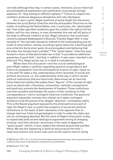coincide (although they may, in certain cases, intersect); just as historical and philosophical explanation and justification must always be kept separate, for "they belong to different spheres."<sup>61</sup> Failure to respect this condition produces dangerous deceptions and risky ideologies.

As a case in point, Hegel examines at some length the discussion between the jurist Sextus Caecilius and the philosopher Favorinus on the matter of justifying the Twelve Tables, and, in particular, the "abominable law" that under specified conditions gave the creditor the right to kill the debtor, sell him into slavery, or even dismember him and sell off parts of his body to different creditors (a law, Hegel interjects, that would have certainly pleased Shakespeare's Shylock). Thereby Hegel offer a clear example of "the eternally deceptive method of the understanding and its mode of ratiocination, namely, providing *a good reason for a bad thing* (*für eine schlechte Sache einen guten Grund anzugeben*) and believing that the latter has thereby been justified."62 The "good reason" Caecilius puts forward in favor of that abominable law is that "it provided an additional guarantee of good faith," and that, in addition, it was never intended to be enforced. This, Hegel points out, is in itself a contradiction.

Where does this discussion—and the crucial methodological point Hegel makes in carefully separating positive jurisprudence and historical explanation from the philosophical science of right—leave us in the end? At stake is the understanding of the *rationality* of social and political structures, i.e., the understanding of the way in which certain political institutions that are historically determined yet do have the trans-historical validity that makes them "figures" of the concept of right (such as democratic citizenship, universities, markets) correspond to and positively promote the development of freedom. Those institutions owe their actuality and thereby the reason of their existence to that correspondence—not to contingent historical conditions. The positivist argument impossibly reverses this relation as it takes contingent existence to be the ground of an alleged "absolute" unchanging reality. This is the flawed argument exposed by the *philosophical* account of right. On Hegel's view, to justify the existence of social and political institutions on the basis of their rationality is the opposite than to impugn spurious historical genealogies in order to make the *status quo* into an unchanging absolute. But the merit of Hegel's discussion is also to expose bad political and ideological arguments aiming at changing existing—and fully rational—structures in the name of apparently "good causes" (which, in fact, replace the rational ground that justifies them). We see this happening in political discourse all the time. I need only mention one recent case such as the need to restrict voting

62 R§3 Remark (TW 7, 39).

C R I

<sup>61</sup> R§3 Remark (TW 7, 37). It is at this point that Hegel attacks Gustav Hugo, who is guilty precisely of confusing these levels of development, explanation, and justification.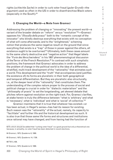rights (*schlechte Sache*) in order to curb voter fraud (*guter Grund*)—the argument used so often in the US in order to disenfranchise Black voters (especially in the South).63

#### **3. Changing the World—a Note from Gramsci**

Addressing the problem of changing or "innovating" the present world—a variant of the broader debate on "reform" *versus* "revolution"64—Gramsci opposes his "*filosofia della prassi*" both to the "romantic concept of the innovator" who blindly destroys everything that exists with no conception of what will come afterwards; and to the "enlightened," scheming notion that produces the same negative result on the ground that since everything that exists is a "trap" of those in power against the others, all existence ought to be overturned.<sup>65</sup> Ultimately, both these cases amount to the same utterly destructive and "negative action" that Hegel labels the "*Furie des Verschwindens*" in his 1807 phenomenological discussion of the Terror of the French Revolution.<sup>66</sup> In contrast with such simplistic positions, the framework that Gramsci advocates in order to address the problem of change in the political world is the idea of a differential, stratified, multi-track development of the "rationality" that animates such a world. This development and the "truth" that accompanies (and justifies the existence of) its forms are pluralistic in their both geographical and temporal differentiation. But they are pluralistic also structurally, i.e., at the deeper level of the "rationality" that constitutes them. The understanding of the complex nature proper to the process of social and political change is crucial in order for "dialectic materialism" and the "philosophy of praxis" to set the longstanding, yet skewed debate that pitches reform against revolution on the right track. For, Gramsci clarifies, at stake herein is truly the difference between "what is 'arbitrary' and what is 'necessary'; what is 'individual' and what is 'social' of collective."67

Gramsci maintains that it is true that whatever has existed—or has been actual, in Hegel's sense—has had its reason for existing. Such reason was the "rationality" of the actual, namely, its capacity to "facilitate" and further life and the historical development as such. It is also true that those same life forms and structures and institutions once rational may have changed, and from having had the function of

63 To which should be added that "curbing voter fraud" is a good ground but only a theoretical one because, in actuality, no voter fraud has been detected in recent elections.

64 Gramsci, 1975, Quaderno 8, 1068.

65 Gramsci, 1975, Quaderno 14, 1726.

66 TW 3, 436.

67 Gramsci, 1975, Quaderno 8, 1068.

300 Changing the World of Spirit in Hegel's Philosophy of Right

R I S I S & C R I T  $\mathbf{I}$ Q U E / Volume 8 Issue 2

C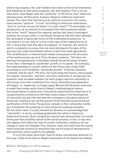enhancing progress, life, and freedom have then turned to be hindrances and obstacles to that same progress, life, and freedom. This is, as we have seen, what Hegel calls the "positivity" of life forms, their historical obsolescence. At this point, however, Gramsci makes an important remark. The claim that rational social, political, economic structures have become "positive" "is true" according to historical materialism, "*but it is not true 'across the board'* ('*su tutta l'area*')."68 If we broaden our perspective, as we should, to encompass the interconnected totality that is the "world" beyond the regional, partial, and utterly contingent position we occupy within it, we should recognize that the claim whereby the rationality of particular forms of life is demoted to positivity "is true where it is true, that is, is true in the case of the highest forms of life, in those that mark the apex of progress." If, however, the world of spirit is a dynamic process, then we must distinguish the apex of the process from what immediately follows it and from what lags behind. This stratification is inherent (and indeed necessary) to the structure of the world-process as such. Thus, Gramsci explains, "life does not develop homogeneously; it develops instead by partial steps forward, arrow-like, it develops by 'pyramidal' growth, so to speak." Accordingly, the understanding of current collective life forms must model itself according to such stratified, "pyramidal growth." It follows, Gramsci contends, that for each "life form one must study the history, hence grasp its original 'rationality'; and then, once this rationality is recognized, the question must be asked whether for each single case this rationality is still actual, since the conditions from which rationality was dependent still apply" or, negatively, no longer apply. We see that Gramsci endorses a model that comes quite close to Hegel's methodological stance discussed above. In particular, it should be underlined the importance of recognizing the constitutive role that history plays in the development of rationality but also the fact that the contingency and particularity of historical conditions are *not* the ground of the theoretical and practical justification of life forms. The ground, instead, is their rationality insofar as it translates into enduring or trans-historical material actuality. On the other hand, it is also relevant for Gramsci to acknowledge that "rationality" is not an unchanging absolute but rather a historical, dialectical process. Such recognition may be less obvious than one would think given the stratified nature of the world-process. In fact, it may very well appear that within the limit of certain localities, conditions do not change or have not changed. This, however, does not imply that the overall interconnected process of rationality has not hit knots of obsolescence and positivity, hence ought to be updated.

It is on this latter point that I want to draw, conclusively, attention. In this way, I shall circle back to Hegel's placement of the dialectical method

68 Gramsci, 1975, Quaderno 14, 1727 (my emphasis).

S I S & C R I T I Q U E / Volume 8

C R I

Issue 2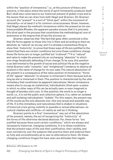within the "position of immanence," i.e., at the juncture of theory and practice, in the place where the world of spirit immanently produces itself. But I shall also come back to our historical present of global crisis and to the lesson that we can draw from both Hegel and Gramsci. On Gramsci account, the "present" is a sort of "blind spot" within the movement of rationality—or at least it is for common consciousness. Given, however, that Hegel places the method's immanence within the present as its nontranscendable Rhodes, the apparent paradox ensues that it is precisely this blind spot in the process that constitutes the methodological core of awareness or the engine that drives the process on.

Gramsci observes that "the fact that goes often unnoticed is this: that life forms appear to those who live in them and according to them as absolute, as 'natural' as we say; and it is already a momentous thing to show their 'historicity', to prove that those ways of life are justified to the extent that there are certain conditions but once these conditions change those life forms are no longer justified but 'irrational'."69 It is "natural" and naïve to make the present into an unchanging "absolute" to which one clings fanatically defending it from change. To be sure, this position is as detrimental to the growth of social and political life as the negative (what Gramsci calls "romantic" and "enlightened") tendency to destroy all existent in the name of change for its own sake. The natural absolutism of the present is a consequence of the naïve position of immanence: "forms of life" appear "absolute" to whoever is immersed in them because and as long as she is immersed in them. This position is characterized by the utter immediacy that constitutes its apparent naturalness. Herein immanence means also to occupy an isolationist, individualistic blind spot—a place in which no other ways of life can be actually seen or even imagined or thought of besides one's own. In this position, the world is no longer a world, i.e., it is not the public and collective sphere; it is, rather an isolated and self-isolating individualistic "bubble." For this reason, the present way of life counts as the only absolute one—the only actual and possible way of life. It is this immediacy and naturalness that is shaken in situations of historical crisis giving visibility to possible or actual alternatives—to cultural clashes and conflicts—in reality as well as in thinking.

Gramsci points to a first "momentous" way out of the absolutism of the present, namely, the act of recognizing the "historicity" of the forms of life otherwise declared absolute. For, these forms "are justified because there exist certain conditions," which are always and necessarily historical, changing conditions. It is to these conditions that the present ways of life owe their justification, their validity, and even normativity over the subjects that practice them and endorse them so fully and unconditionally as to see no alternative to them. On these changing conditions hinges the have seen are attitudes that negate

69 Gramsci, 1975, Quaderno 14, 1727.

I S I S & C R I T I Q U E / Volume 8

Issue 2

C R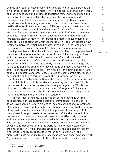change and resist the advancement, ultimately amount to embracing an a-historical position—the a-historicity of an essentialist static universal, of alleged essences and original foundations removed from change and impenetrable to critique. The absolutism of the present responds to the same logic. It follows, however, that as those conditions change as they do soon or later change because of their historicity, the accepted justification for those present ways of life no longer holds. At this point, the absolute loses its validity and becomes "irrational"—or better, the attitude of holding on to its changelessness and of refusing to advance becomes irrational. This critique of absolutism and fundamentalism through the claim of history—or through the historical dynamism of the concept—is a position that Gramsci shares with Hegel. On Hegel's view, Gramsci's universal which has become "irrational" is the "dead positive" that no longer has a grip on people's life and no longer is truly alive, actual, present—or rational, as it were. The absolutism of the present—of the universal represented by the current forms of life, social practices, and culture—meets its crisis in the moment of historical transition in which the conditions of its existence and justification change. The present form of life remains apparently the same, resisting change. Yet as its conditions are changing or have already changed, that way of life is emptied of meaning and validity from within, often hosting opposite and conflicting customs and practices. Crisis is the name of the discrepancy between the fixity of a form of life and the transformation of its conditions, i.e., the transformation of the context or the broader universal from which that form of life receives its meaning and its power. This is the moment in which the universal is no longer hegemonic. This is the situation that Gramsci has famously called *interregnum*. 70 I have to end these considerations here. But I shall conclude with a brief suggestion that brings Hegel and Gramsci finally together.

In contrast to the natural absolutism of the present, is set the philosophical non-absolutistic position of immanence. This is upheld, as we have seen, by Hegel's dialectical science of right and by Gramsci philosophy of praxis. In their light, then, here is the answer to the paradox of the position of immanence. The philosopher—or the standpoint of the philosophy of praxis—is in the *present world*. As she is *both* in the present *and* in the world, the worldly perspective effectively corrects and mediates the naïve tendency to make the present into an absolute. The totality of the world is only one—there is no possibility of "leaping" beyond it, as Hegel warns. But the world is the interconnected order *ordo et connectio*—of a pluralistic process. It is the complex movement whereby rationality produces itself materially, 'figuratively', and historically in its actuality. Such process, as we have seen, advances with "pyramidal growth," as it were. To be within the world, then, is to gain

70 I have addressed this issue in Nuzzo 2018c.

Issue 2

C R  $\mathbf{I}$ S I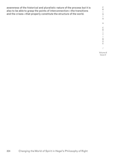| awareness of the historical and pluralistic nature of the process but it is |
|-----------------------------------------------------------------------------|
| also to be able to grasp the points of interconnection—the transitions      |
| and the crises—that properly constitute the structure of the world.         |

C R I S I S & C R I T I Q U E /

Volume 8 Issue 2